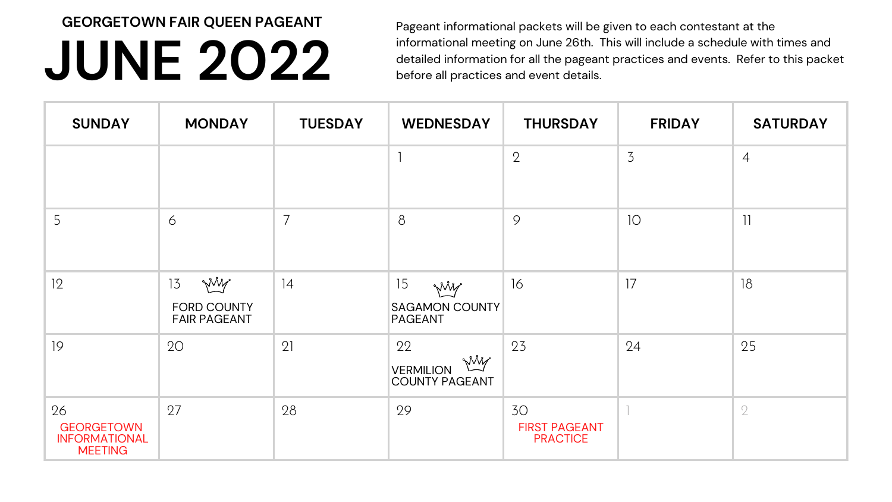## **JUNE 2022**

| <b>SUNDAY</b>                                                     | <b>MONDAY</b>                                           | <b>TUESDAY</b> | <b>WEDNESDAY</b>                                        | <b>THURSDAY</b>                               | <b>FRIDAY</b>  | <b>SATURDAY</b> |
|-------------------------------------------------------------------|---------------------------------------------------------|----------------|---------------------------------------------------------|-----------------------------------------------|----------------|-----------------|
|                                                                   |                                                         |                |                                                         | $\overline{2}$                                | $\overline{3}$ | $\overline{4}$  |
| 5                                                                 | 6                                                       | $\overline{7}$ | 8                                                       | 9                                             | 10             | $\mathbf{1}$    |
| 12                                                                | 13<br>Will<br><b>FORD COUNTY</b><br><b>FAIR PAGEANT</b> | ]4             | 15<br>Will<br><b>SAGAMON COUNTY</b><br><b>PAGEANT</b>   | 16                                            | 17             | 18              |
| 19                                                                | 20                                                      | 21             | 22<br>Will<br><b>VERMILION</b><br><b>COUNTY PAGEANT</b> | 23                                            | 24             | 25              |
| 26<br><b>GEORGETOWN</b><br><b>INFORMATIONAL</b><br><b>MEETING</b> | 27                                                      | 28             | 29                                                      | 30<br><b>FIRST PAGEANT</b><br><b>PRACTICE</b> |                | 2               |

Pageant informational packets will be given to each contestant at the informational meeting on June 26th. This will include a schedule with times and detailed information for all the pageant practices and events. Refer to this packet before all practices and event details.

**GEORGETOWN FAIR QUEEN PAGEANT**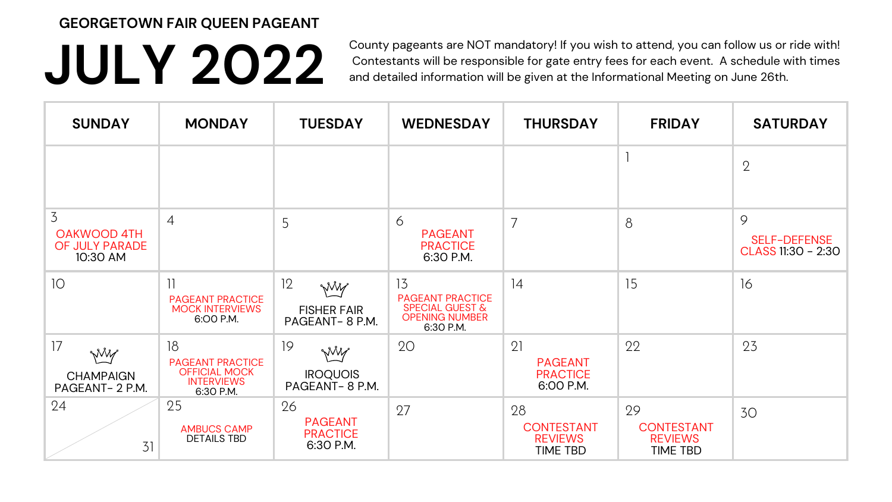## **JULY 2022**

County pageants are NOT mandatory! If you wish to attend, you can follow us or ride with! Contestants will be responsible for gate entry fees for each event. A schedule with times and detailed information will be given at the Informational Meeting on June 26th.

| <b>SUNDAY</b>                                                      | <b>MONDAY</b>                                                                           | <b>TUESDAY</b>                                       | <b>WEDNESDAY</b>                                                                                  | <b>THURSDAY</b>                                       | <b>FRIDAY</b>                                                | <b>SATURDAY</b>                                |
|--------------------------------------------------------------------|-----------------------------------------------------------------------------------------|------------------------------------------------------|---------------------------------------------------------------------------------------------------|-------------------------------------------------------|--------------------------------------------------------------|------------------------------------------------|
|                                                                    |                                                                                         |                                                      |                                                                                                   |                                                       |                                                              | $\overline{2}$                                 |
| $\overline{3}$<br><b>OAKWOOD 4TH</b><br>OF JULY PARADE<br>10:30 AM | $\overline{4}$                                                                          | 5                                                    | 6<br><b>PAGEANT</b><br><b>PRACTICE</b><br>6:30 P.M.                                               | $\overline{7}$                                        | 8                                                            | 9<br><b>SELF-DEFENSE</b><br>CLASS 11:30 - 2:30 |
| 10                                                                 | <b>PAGEANT PRACTICE</b><br><b>MOCK INTERVIEWS</b><br>6:00 P.M.                          | 12<br>Will<br><b>FISHER FAIR</b><br>PAGEANT-8 P.M.   | 13<br><b>PAGEANT PRACTICE</b><br><b>SPECIAL GUEST &amp;</b><br><b>OPENING NUMBER</b><br>6:30 P.M. | 14                                                    | 15                                                           | 16                                             |
| 17<br>Wilf<br><b>CHAMPAIGN</b><br>PAGEANT-2 P.M.                   | 18<br><b>PAGEANT PRACTICE</b><br><b>OFFICIAL MOCK</b><br><b>INTERVIEWS</b><br>6:30 P.M. | 19<br>Will<br><b>IROQUOIS</b><br>PAGEANT-8 P.M.      | 20                                                                                                | 21<br><b>PAGEANT</b><br><b>PRACTICE</b><br>6:00 P.M.  | 22                                                           | 23                                             |
| 24<br>31                                                           | 25<br><b>AMBUCS CAMP</b><br><b>DETAILS TBD</b>                                          | 26<br><b>PAGEANT</b><br><b>PRACTICE</b><br>6:30 P.M. | 27                                                                                                | 28<br><b>CONTESTANT</b><br><b>REVIEWS</b><br>TIME TBD | 29<br><b>CONTESTANT</b><br><b>REVIEWS</b><br><b>TIME TBD</b> | 30                                             |

## **GEORGETOWN FAIR QUEEN PAGEANT**